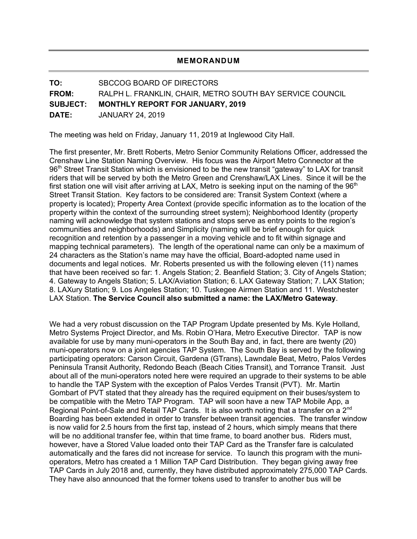## **MEMORANDUM**

**TO:** SBCCOG BOARD OF DIRECTORS **FROM:** RALPH L. FRANKLIN, CHAIR, METRO SOUTH BAY SERVICE COUNCIL **SUBJECT: MONTHLY REPORT FOR JANUARY, 2019 DATE:** JANUARY 24, 2019

The meeting was held on Friday, January 11, 2019 at Inglewood City Hall.

The first presenter, Mr. Brett Roberts, Metro Senior Community Relations Officer, addressed the Crenshaw Line Station Naming Overview. His focus was the Airport Metro Connector at the 96<sup>th</sup> Street Transit Station which is envisioned to be the new transit "gateway" to LAX for transit riders that will be served by both the Metro Green and Crenshaw/LAX Lines. Since it will be the first station one will visit after arriving at LAX, Metro is seeking input on the naming of the 96<sup>th</sup> Street Transit Station. Key factors to be considered are: Transit System Context (where a property is located); Property Area Context (provide specific information as to the location of the property within the context of the surrounding street system); Neighborhood Identity (property naming will acknowledge that system stations and stops serve as entry points to the region's communities and neighborhoods) and Simplicity (naming will be brief enough for quick recognition and retention by a passenger in a moving vehicle and to fit within signage and mapping technical parameters). The length of the operational name can only be a maximum of 24 characters as the Station's name may have the official, Board-adopted name used in documents and legal notices. Mr. Roberts presented us with the following eleven (11) names that have been received so far: 1. Angels Station; 2. Beanfield Station; 3. City of Angels Station; 4. Gateway to Angels Station; 5. LAX/Aviation Station; 6. LAX Gateway Station; 7. LAX Station; 8. LAXury Station; 9. Los Angeles Station; 10. Tuskegee Airmen Station and 11. Westchester LAX Station. **The Service Council also submitted a name: the LAX/Metro Gateway**.

We had a very robust discussion on the TAP Program Update presented by Ms. Kyle Holland, Metro Systems Project Director, and Ms. Robin O'Hara, Metro Executive Director. TAP is now available for use by many muni-operators in the South Bay and, in fact, there are twenty (20) muni-operators now on a joint agencies TAP System. The South Bay is served by the following participating operators: Carson Circuit, Gardena (GTrans), Lawndale Beat, Metro, Palos Verdes Peninsula Transit Authority, Redondo Beach (Beach Cities Transit), and Torrance Transit. Just about all of the muni-operators noted here were required an upgrade to their systems to be able to handle the TAP System with the exception of Palos Verdes Transit (PVT). Mr. Martin Gombart of PVT stated that they already has the required equipment on their buses/system to be compatible with the Metro TAP Program. TAP will soon have a new TAP Mobile App, a Regional Point-of-Sale and Retail TAP Cards. It is also worth noting that a transfer on a 2<sup>nd</sup> Boarding has been extended in order to transfer between transit agencies. The transfer window is now valid for 2.5 hours from the first tap, instead of 2 hours, which simply means that there will be no additional transfer fee, within that time frame, to board another bus. Riders must, however, have a Stored Value loaded onto their TAP Card as the Transfer fare is calculated automatically and the fares did not increase for service. To launch this program with the munioperators, Metro has created a 1 Million TAP Card Distribution. They began giving away free TAP Cards in July 2018 and, currently, they have distributed approximately 275,000 TAP Cards. They have also announced that the former tokens used to transfer to another bus will be